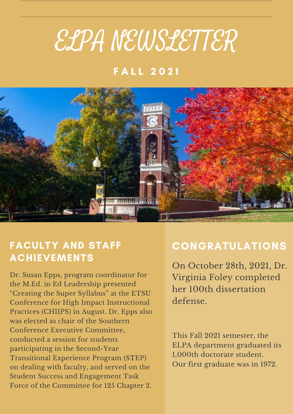# ELPA NEWSLETTER

# **FALL 2021**



# FACULTY AND STAFF ACHIEVEMENTS

Dr. Susan Epps, program coordinator for the M.Ed. in Ed Leadership presented "Creating the Super Syllabus" at the ETSU Conference for High Impact Instructional Practices (CHIIPS) in August. Dr. Epps also was elected as chair of the Southern Conference Executive Committee, conducted a session for students participating in the Second-Year Transitional Experience Program (STEP) on dealing with faculty, and served on the Student Success and Engagement Task Force of the Committee for 125 Chapter 2.

# CONGRATULATIONS

On October 28th, 2021, Dr. Virginia Foley completed her 100th dissertation defense.

This Fall 2021 semester, the ELPA department graduated its 1,000th doctorate student. Our first graduate was in 1972.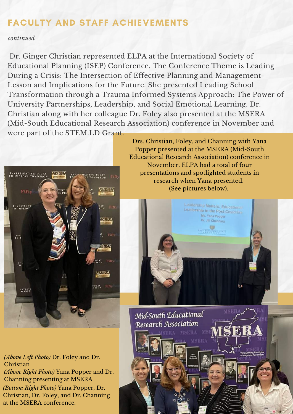### FACULTY AND STAFF ACHIEVEMENTS

#### *continued*

Dr. Ginger Christian represented ELPA at the International Society of Educational Planning (ISEP) Conference. The Conference Theme is Leading During a Crisis: The Intersection of Effective Planning and Management-Lesson and Implications for the Future. She presented Leading School Transformation through a Trauma Informed Systems Approach: The Power of University Partnerships, Leadership, and Social Emotional Learning. Dr. Christian along with her colleague Dr. Foley also presented at the MSERA (Mid-South Educational Research Association) conference in November and were part of the STEM.LD Grant.



Drs. Christian, Foley, and Channing with Yana Popper presented at the MSERA (Mid-South Educational Research Association) conference in November. ELPA had a total of four presentations and spotlighted students in research when Yana presented. (See pictures below).



**TRA** 

Mid-South Educational Research Association

*(Bottom Right Photo)* Yana Popper, Dr. Christian, Dr. Foley, and Dr. Channing at the MSERA conference. *(Above Left Photo)* Dr. Foley and Dr. Christian *(Above Right Photo)* Yana Popper and Dr. Channing presenting at MSERA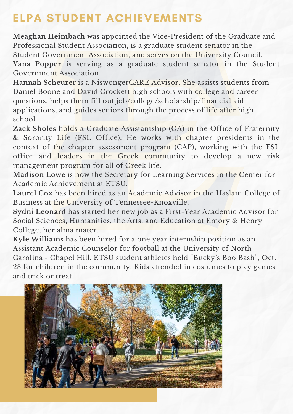# ELPA STUDENT ACHIEVEMENTS

**Meaghan Heimbach** was appointed the Vice-President of the Graduate and Professional Student Association, is a graduate student senator in the Student Government Association, and serves on the University Council. **Yana Popper** is serving as a graduate student senator in the Student Government Association.

**Hannah Scheure**r is a NiswongerCARE Advisor. She assists students from Daniel Boone and David Crockett high schools with college and career questions, helps them fill out job/college/scholarship/financial aid applications, and guides seniors through the process of life after high school.

**Zack Sholes** holds a Graduate Assistantship (GA) in the Office of Fraternity & Sorority Life (FSL Office). He works with chapter presidents in the context of the chapter assessment program (CAP), working with the FSL office and leaders in the Greek community to develop a new risk management program for all of Greek life.

**Madison Lowe** is now the Secretary for Learning Services in the Center for Academic Achievement at ETSU.

**Laurel Cox** has been hired as an Academic Advisor in the Haslam College of Business at the University of Tennessee-Knoxville.

**Sydni Leonard** has started her new job as a First-Year Academic Advisor for Social Sciences, Humanities, the Arts, and Education at Emory & Henry College, her alma mater.

**Kyle Williams** has been hired for a one year internship position as an Assistant Academic Counselor for football at the University of North Carolina - Chapel Hill. ETSU student athletes held "Bucky's Boo Bash", Oct. 28 for children in the community. Kids attended in costumes to play games and trick or treat.